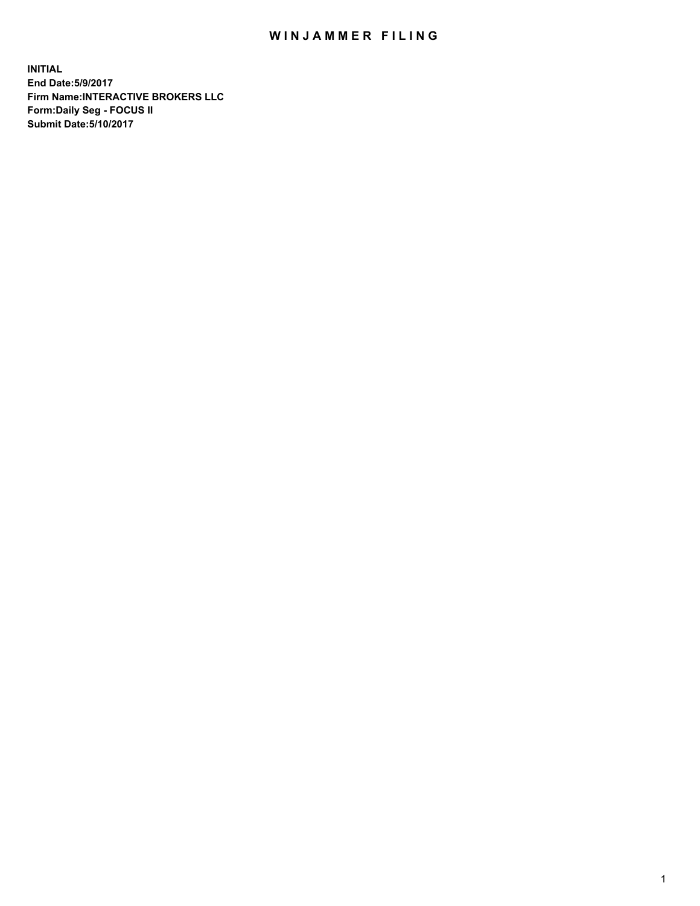## WIN JAMMER FILING

**INITIAL End Date:5/9/2017 Firm Name:INTERACTIVE BROKERS LLC Form:Daily Seg - FOCUS II Submit Date:5/10/2017**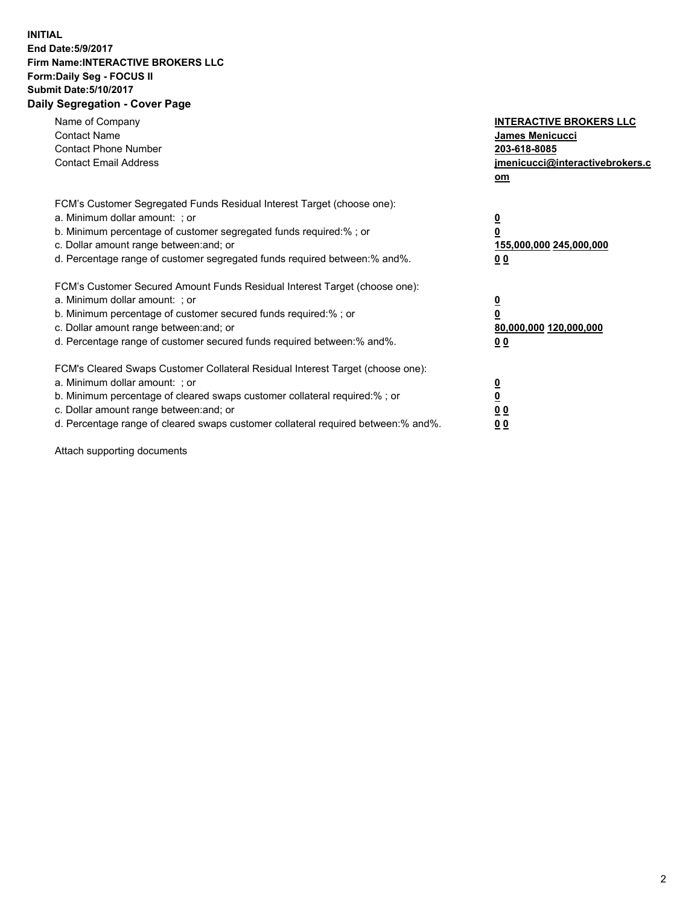## **INITIAL End Date:5/9/2017 Firm Name:INTERACTIVE BROKERS LLC Form:Daily Seg - FOCUS II Submit Date:5/10/2017 Daily Segregation - Cover Page**

| Name of Company<br><b>Contact Name</b><br><b>Contact Phone Number</b><br><b>Contact Email Address</b>                                                                                                                                                                                                                          | <b>INTERACTIVE BROKERS LLC</b><br><b>James Menicucci</b><br>203-618-8085<br>jmenicucci@interactivebrokers.c<br>om |
|--------------------------------------------------------------------------------------------------------------------------------------------------------------------------------------------------------------------------------------------------------------------------------------------------------------------------------|-------------------------------------------------------------------------------------------------------------------|
| FCM's Customer Segregated Funds Residual Interest Target (choose one):<br>a. Minimum dollar amount: ; or<br>b. Minimum percentage of customer segregated funds required:% ; or<br>c. Dollar amount range between: and; or<br>d. Percentage range of customer segregated funds required between: % and %.                       | $\overline{\mathbf{0}}$<br>0<br>155,000,000 245,000,000<br>00                                                     |
| FCM's Customer Secured Amount Funds Residual Interest Target (choose one):<br>a. Minimum dollar amount: ; or<br>b. Minimum percentage of customer secured funds required:%; or<br>c. Dollar amount range between: and; or<br>d. Percentage range of customer secured funds required between: % and %.                          | $\overline{\mathbf{0}}$<br>0<br>80,000,000 120,000,000<br>0 <sub>0</sub>                                          |
| FCM's Cleared Swaps Customer Collateral Residual Interest Target (choose one):<br>a. Minimum dollar amount: ; or<br>b. Minimum percentage of cleared swaps customer collateral required:% ; or<br>c. Dollar amount range between: and; or<br>d. Percentage range of cleared swaps customer collateral required between:% and%. | $\overline{\mathbf{0}}$<br>$\underline{\mathbf{0}}$<br>0 <sub>0</sub><br>0 <sub>0</sub>                           |

Attach supporting documents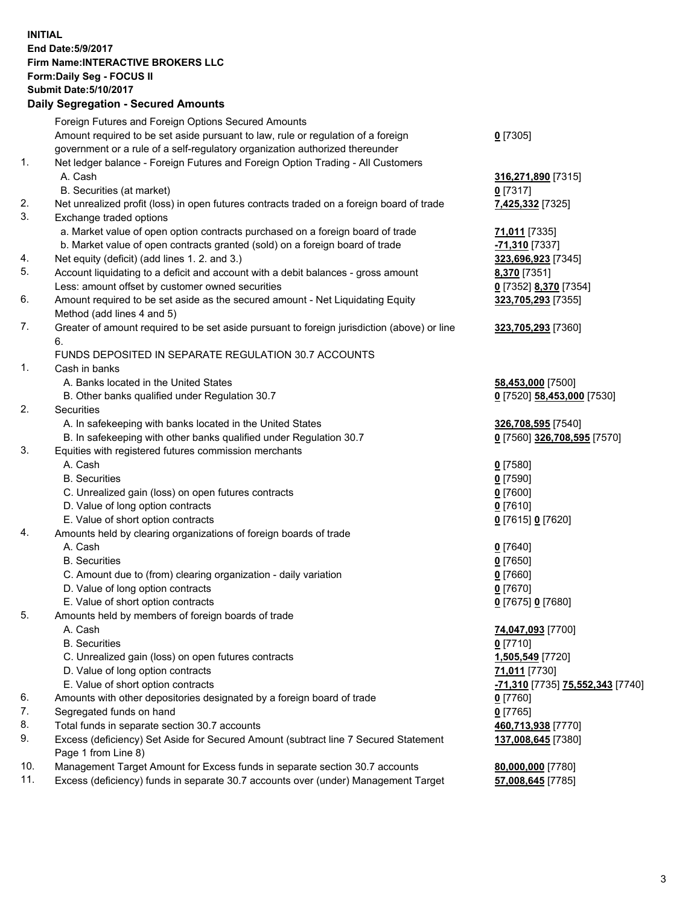## **INITIAL End Date:5/9/2017 Firm Name:INTERACTIVE BROKERS LLC Form:Daily Seg - FOCUS II Submit Date:5/10/2017 Daily Segregation - Secured Amounts**

|     | Foreign Futures and Foreign Options Secured Amounts                                         |                                  |
|-----|---------------------------------------------------------------------------------------------|----------------------------------|
|     | Amount required to be set aside pursuant to law, rule or regulation of a foreign            | $0$ [7305]                       |
|     | government or a rule of a self-regulatory organization authorized thereunder                |                                  |
| 1.  | Net ledger balance - Foreign Futures and Foreign Option Trading - All Customers             |                                  |
|     | A. Cash                                                                                     | 316,271,890 [7315]               |
|     | B. Securities (at market)                                                                   | $0$ [7317]                       |
| 2.  | Net unrealized profit (loss) in open futures contracts traded on a foreign board of trade   | 7,425,332 [7325]                 |
| 3.  | Exchange traded options                                                                     |                                  |
|     | a. Market value of open option contracts purchased on a foreign board of trade              | 71,011 [7335]                    |
|     | b. Market value of open contracts granted (sold) on a foreign board of trade                | -71,310 [7337]                   |
| 4.  | Net equity (deficit) (add lines 1.2. and 3.)                                                | 323,696,923 [7345]               |
| 5.  | Account liquidating to a deficit and account with a debit balances - gross amount           | 8,370 [7351]                     |
|     | Less: amount offset by customer owned securities                                            | 0 [7352] 8,370 [7354]            |
| 6.  | Amount required to be set aside as the secured amount - Net Liquidating Equity              | 323,705,293 [7355]               |
|     | Method (add lines 4 and 5)                                                                  |                                  |
| 7.  | Greater of amount required to be set aside pursuant to foreign jurisdiction (above) or line | 323,705,293 [7360]               |
|     | 6.                                                                                          |                                  |
|     | FUNDS DEPOSITED IN SEPARATE REGULATION 30.7 ACCOUNTS                                        |                                  |
| 1.  | Cash in banks                                                                               |                                  |
|     | A. Banks located in the United States                                                       | 58,453,000 [7500]                |
|     | B. Other banks qualified under Regulation 30.7                                              | 0 [7520] 58,453,000 [7530]       |
| 2.  | Securities                                                                                  |                                  |
|     | A. In safekeeping with banks located in the United States                                   | 326,708,595 [7540]               |
|     | B. In safekeeping with other banks qualified under Regulation 30.7                          | 0 [7560] 326,708,595 [7570]      |
| 3.  | Equities with registered futures commission merchants                                       |                                  |
|     | A. Cash                                                                                     | $0$ [7580]                       |
|     | <b>B.</b> Securities                                                                        | $0$ [7590]                       |
|     | C. Unrealized gain (loss) on open futures contracts                                         | $0$ [7600]                       |
|     | D. Value of long option contracts                                                           | $0$ [7610]                       |
|     | E. Value of short option contracts                                                          | 0 [7615] 0 [7620]                |
| 4.  | Amounts held by clearing organizations of foreign boards of trade                           |                                  |
|     | A. Cash                                                                                     | $0$ [7640]                       |
|     | <b>B.</b> Securities                                                                        | $0$ [7650]                       |
|     | C. Amount due to (from) clearing organization - daily variation                             | $0$ [7660]                       |
|     | D. Value of long option contracts                                                           | $0$ [7670]                       |
|     | E. Value of short option contracts                                                          | 0 [7675] 0 [7680]                |
| 5.  | Amounts held by members of foreign boards of trade                                          |                                  |
|     | A. Cash                                                                                     | 74,047,093 [7700]                |
|     | <b>B.</b> Securities                                                                        | $0$ [7710]                       |
|     | C. Unrealized gain (loss) on open futures contracts                                         | 1,505,549 [7720]                 |
|     | D. Value of long option contracts                                                           | 71,011 [7730]                    |
|     | E. Value of short option contracts                                                          | -71,310 [7735] 75,552,343 [7740] |
| 6.  | Amounts with other depositories designated by a foreign board of trade                      | $0$ [7760]                       |
| 7.  | Segregated funds on hand                                                                    | $0$ [7765]                       |
| 8.  | Total funds in separate section 30.7 accounts                                               | 460,713,938 [7770]               |
| 9.  | Excess (deficiency) Set Aside for Secured Amount (subtract line 7 Secured Statement         | 137,008,645 [7380]               |
|     | Page 1 from Line 8)                                                                         |                                  |
| 10. | Management Target Amount for Excess funds in separate section 30.7 accounts                 | 80,000,000 [7780]                |
| 11. | Excess (deficiency) funds in separate 30.7 accounts over (under) Management Target          | 57,008,645 [7785]                |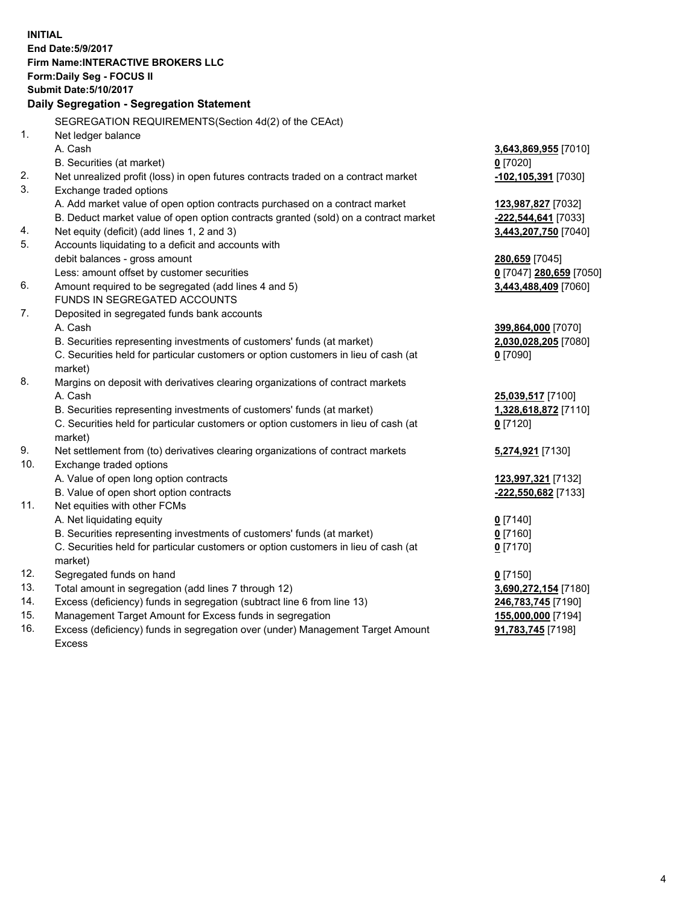**INITIAL End Date:5/9/2017 Firm Name:INTERACTIVE BROKERS LLC Form:Daily Seg - FOCUS II Submit Date:5/10/2017 Daily Segregation - Segregation Statement** SEGREGATION REQUIREMENTS(Section 4d(2) of the CEAct) 1. Net ledger balance A. Cash **3,643,869,955** [7010] B. Securities (at market) **0** [7020] 2. Net unrealized profit (loss) in open futures contracts traded on a contract market **-102,105,391** [7030] 3. Exchange traded options A. Add market value of open option contracts purchased on a contract market **123,987,827** [7032] B. Deduct market value of open option contracts granted (sold) on a contract market **-222,544,641** [7033] 4. Net equity (deficit) (add lines 1, 2 and 3) **3,443,207,750** [7040] 5. Accounts liquidating to a deficit and accounts with debit balances - gross amount **280,659** [7045] Less: amount offset by customer securities **0** [7047] **280,659** [7050] 6. Amount required to be segregated (add lines 4 and 5) **3,443,488,409** [7060] FUNDS IN SEGREGATED ACCOUNTS 7. Deposited in segregated funds bank accounts A. Cash **399,864,000** [7070] B. Securities representing investments of customers' funds (at market) **2,030,028,205** [7080] C. Securities held for particular customers or option customers in lieu of cash (at market) **0** [7090] 8. Margins on deposit with derivatives clearing organizations of contract markets A. Cash **25,039,517** [7100] B. Securities representing investments of customers' funds (at market) **1,328,618,872** [7110] C. Securities held for particular customers or option customers in lieu of cash (at market) **0** [7120] 9. Net settlement from (to) derivatives clearing organizations of contract markets **5,274,921** [7130] 10. Exchange traded options A. Value of open long option contracts **123,997,321** [7132] B. Value of open short option contracts **-222,550,682** [7133] 11. Net equities with other FCMs A. Net liquidating equity **0** [7140] B. Securities representing investments of customers' funds (at market) **0** [7160] C. Securities held for particular customers or option customers in lieu of cash (at market) **0** [7170] 12. Segregated funds on hand **0** [7150] 13. Total amount in segregation (add lines 7 through 12) **3,690,272,154** [7180] 14. Excess (deficiency) funds in segregation (subtract line 6 from line 13) **246,783,745** [7190] 15. Management Target Amount for Excess funds in segregation **155,000,000** [7194]

16. Excess (deficiency) funds in segregation over (under) Management Target Amount Excess

**91,783,745** [7198]